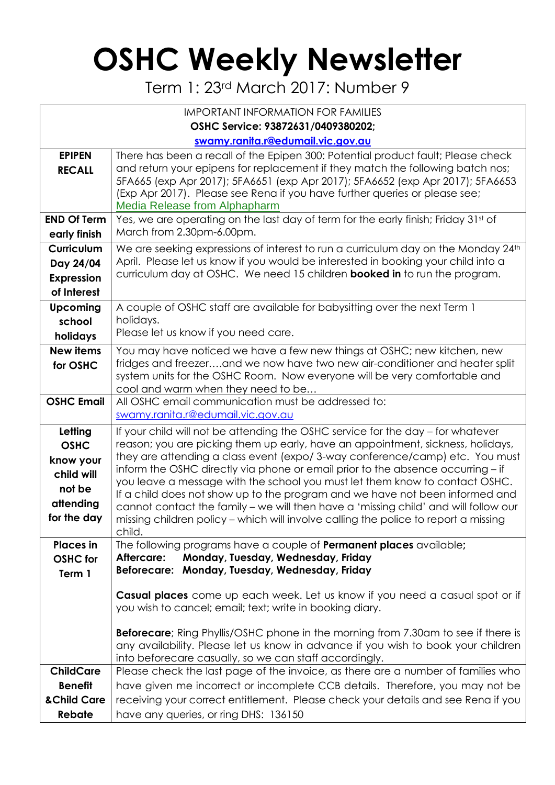## **OSHC Weekly Newsletter**

Term 1: 23rd March 2017: Number 9

| <b>IMPORTANT INFORMATION FOR FAMILIES</b>                                               |                                                                                                                                                                                                                                                                                                                                                                                                                                                                                                                                                                                                                                                                                             |  |  |  |  |  |  |  |
|-----------------------------------------------------------------------------------------|---------------------------------------------------------------------------------------------------------------------------------------------------------------------------------------------------------------------------------------------------------------------------------------------------------------------------------------------------------------------------------------------------------------------------------------------------------------------------------------------------------------------------------------------------------------------------------------------------------------------------------------------------------------------------------------------|--|--|--|--|--|--|--|
| OSHC Service: 93872631/0409380202;                                                      |                                                                                                                                                                                                                                                                                                                                                                                                                                                                                                                                                                                                                                                                                             |  |  |  |  |  |  |  |
| swamy.ranita.r@edumail.vic.gov.au                                                       |                                                                                                                                                                                                                                                                                                                                                                                                                                                                                                                                                                                                                                                                                             |  |  |  |  |  |  |  |
| <b>EPIPEN</b><br><b>RECALL</b>                                                          | There has been a recall of the Epipen 300: Potential product fault; Please check<br>and return your epipens for replacement if they match the following batch nos;<br>5FA665 (exp Apr 2017); 5FA6651 (exp Apr 2017); 5FA6652 (exp Apr 2017); 5FA6653<br>(Exp Apr 2017). Please see Rena if you have further queries or please see;<br>Media Release from Alphapharm                                                                                                                                                                                                                                                                                                                         |  |  |  |  |  |  |  |
| <b>END Of Term</b><br>early finish                                                      | Yes, we are operating on the last day of term for the early finish; Friday 31st of<br>March from 2.30pm-6.00pm.                                                                                                                                                                                                                                                                                                                                                                                                                                                                                                                                                                             |  |  |  |  |  |  |  |
| <b>Curriculum</b><br>Day 24/04<br><b>Expression</b><br>of Interest                      | We are seeking expressions of interest to run a curriculum day on the Monday 24th<br>April. Please let us know if you would be interested in booking your child into a<br>curriculum day at OSHC. We need 15 children <b>booked in</b> to run the program.                                                                                                                                                                                                                                                                                                                                                                                                                                  |  |  |  |  |  |  |  |
| <b>Upcoming</b><br>school<br>holidays                                                   | A couple of OSHC staff are available for babysitting over the next Term 1<br>holidays.<br>Please let us know if you need care.                                                                                                                                                                                                                                                                                                                                                                                                                                                                                                                                                              |  |  |  |  |  |  |  |
| <b>New items</b><br>for OSHC                                                            | You may have noticed we have a few new things at OSHC; new kitchen, new<br>fridges and freezerand we now have two new air-conditioner and heater split<br>system units for the OSHC Room. Now everyone will be very comfortable and<br>cool and warm when they need to be                                                                                                                                                                                                                                                                                                                                                                                                                   |  |  |  |  |  |  |  |
| <b>OSHC Email</b>                                                                       | All OSHC email communication must be addressed to:<br>swamy.ranita.r@edumail.vic.gov.au                                                                                                                                                                                                                                                                                                                                                                                                                                                                                                                                                                                                     |  |  |  |  |  |  |  |
| Letting<br><b>OSHC</b><br>know your<br>child will<br>not be<br>attending<br>for the day | If your child will not be attending the OSHC service for the day – for whatever<br>reason; you are picking them up early, have an appointment, sickness, holidays,<br>they are attending a class event (expo/3-way conference/camp) etc. You must<br>inform the OSHC directly via phone or email prior to the absence occurring - if<br>you leave a message with the school you must let them know to contact OSHC.<br>If a child does not show up to the program and we have not been informed and<br>cannot contact the family - we will then have a 'missing child' and will follow our<br>missing children policy – which will involve calling the police to report a missing<br>child. |  |  |  |  |  |  |  |
| <b>Places</b> in<br><b>OSHC</b> for<br>Term 1                                           | The following programs have a couple of <b>Permanent places</b> available;<br>Monday, Tuesday, Wednesday, Friday<br>Aftercare:<br>Beforecare: Monday, Tuesday, Wednesday, Friday                                                                                                                                                                                                                                                                                                                                                                                                                                                                                                            |  |  |  |  |  |  |  |
|                                                                                         | Casual places come up each week. Let us know if you need a casual spot or if<br>you wish to cancel; email; text; write in booking diary.<br><b>Beforecare</b> ; Ring Phyllis/OSHC phone in the morning from 7.30am to see if there is<br>any availability. Please let us know in advance if you wish to book your children                                                                                                                                                                                                                                                                                                                                                                  |  |  |  |  |  |  |  |
| <b>ChildCare</b>                                                                        | into beforecare casually, so we can staff accordingly.<br>Please check the last page of the invoice, as there are a number of families who                                                                                                                                                                                                                                                                                                                                                                                                                                                                                                                                                  |  |  |  |  |  |  |  |
| <b>Benefit</b><br>& Child Care<br>Rebate                                                | have given me incorrect or incomplete CCB details. Therefore, you may not be<br>receiving your correct entitlement. Please check your details and see Rena if you<br>have any queries, or ring DHS: 136150                                                                                                                                                                                                                                                                                                                                                                                                                                                                                  |  |  |  |  |  |  |  |
|                                                                                         |                                                                                                                                                                                                                                                                                                                                                                                                                                                                                                                                                                                                                                                                                             |  |  |  |  |  |  |  |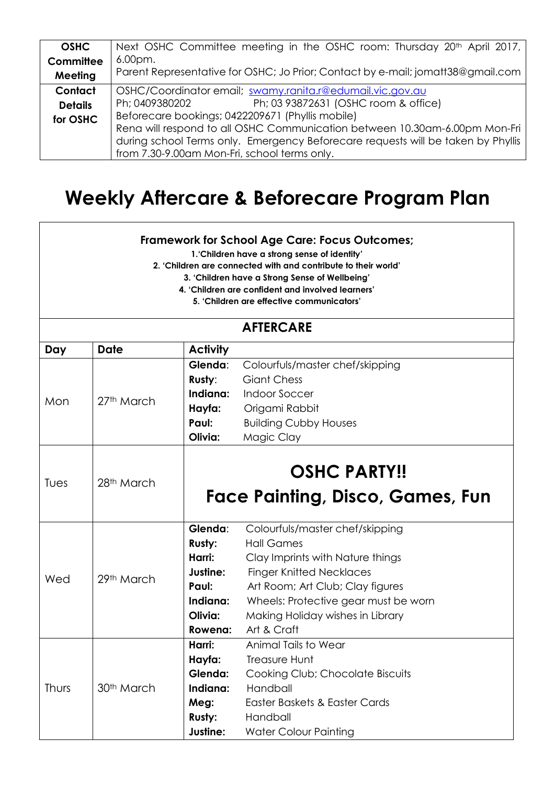| <b>OSHC</b>                                                                | Next OSHC Committee meeting in the OSHC room: Thursday 20 <sup>th</sup> April 2017, |  |  |
|----------------------------------------------------------------------------|-------------------------------------------------------------------------------------|--|--|
| Committee                                                                  | 6.00pm.                                                                             |  |  |
| Meeting                                                                    | Parent Representative for OSHC; Jo Prior; Contact by e-mail; jomatt38@gmail.com     |  |  |
| Contact                                                                    | OSHC/Coordinator email; swamy.ranita.r@edumail.vic.gov.au                           |  |  |
| <b>Details</b>                                                             | Ph; 03 93872631 (OSHC room & office)<br>Ph; 0409380202                              |  |  |
| for OSHC                                                                   | Beforecare bookings; 0422209671 (Phyllis mobile)                                    |  |  |
| Rena will respond to all OSHC Communication between 10.30am-6.00pm Mon-Fri |                                                                                     |  |  |
|                                                                            | during school Terms only. Emergency Beforecare requests will be taken by Phyllis    |  |  |
|                                                                            | from 7.30-9.00am Mon-Fri, school terms only.                                        |  |  |

## **Weekly Aftercare & Beforecare Program Plan**

## **Framework for School Age Care: Focus Outcomes;**

**1.'Children have a strong sense of identity'**

**2. 'Children are connected with and contribute to their world'**

**3. 'Children have a Strong Sense of Wellbeing'**

- **4. 'Children are confident and involved learners'**
	- **5. 'Children are effective communicators'**

| <b>AFTERCARE</b> |                        |                 |                                      |  |  |  |
|------------------|------------------------|-----------------|--------------------------------------|--|--|--|
| Day              | <b>Date</b>            | <b>Activity</b> |                                      |  |  |  |
|                  | 27 <sup>th</sup> March | Glenda:         | Colourfuls/master chef/skipping      |  |  |  |
|                  |                        | Rusty:          | <b>Giant Chess</b>                   |  |  |  |
| Mon              |                        | Indiana:        | <b>Indoor Soccer</b>                 |  |  |  |
|                  |                        | Hayfa:          | Origami Rabbit                       |  |  |  |
|                  |                        | Paul:           | <b>Building Cubby Houses</b>         |  |  |  |
|                  |                        | Olivia:         | Magic Clay                           |  |  |  |
|                  |                        |                 |                                      |  |  |  |
| Tues             | 28 <sup>th</sup> March |                 | <b>OSHC PARTY!!</b>                  |  |  |  |
|                  |                        |                 | Face Painting, Disco, Games, Fun     |  |  |  |
|                  | 29th March             | Glenda:         | Colourfuls/master chef/skipping      |  |  |  |
|                  |                        | Rusty:          | <b>Hall Games</b>                    |  |  |  |
|                  |                        | Harri:          | Clay Imprints with Nature things     |  |  |  |
| Wed              |                        | Justine:        | <b>Finger Knitted Necklaces</b>      |  |  |  |
|                  |                        | Paul:           | Art Room; Art Club; Clay figures     |  |  |  |
|                  |                        | Indiana:        | Wheels: Protective gear must be worn |  |  |  |
|                  |                        | Olivia:         | Making Holiday wishes in Library     |  |  |  |
|                  |                        | Rowena:         | Art & Craft                          |  |  |  |
|                  | 30 <sup>th</sup> March | Harri:          | Animal Tails to Wear                 |  |  |  |
|                  |                        | Hayfa:          | <b>Treasure Hunt</b>                 |  |  |  |
| Thurs            |                        | Glenda:         | Cooking Club; Chocolate Biscuits     |  |  |  |
|                  |                        | Indiana:        | Handball                             |  |  |  |
|                  |                        | Meg:            | Easter Baskets & Easter Cards        |  |  |  |
|                  |                        | <b>Rusty:</b>   | Handball                             |  |  |  |
|                  |                        | Justine:        | <b>Water Colour Painting</b>         |  |  |  |